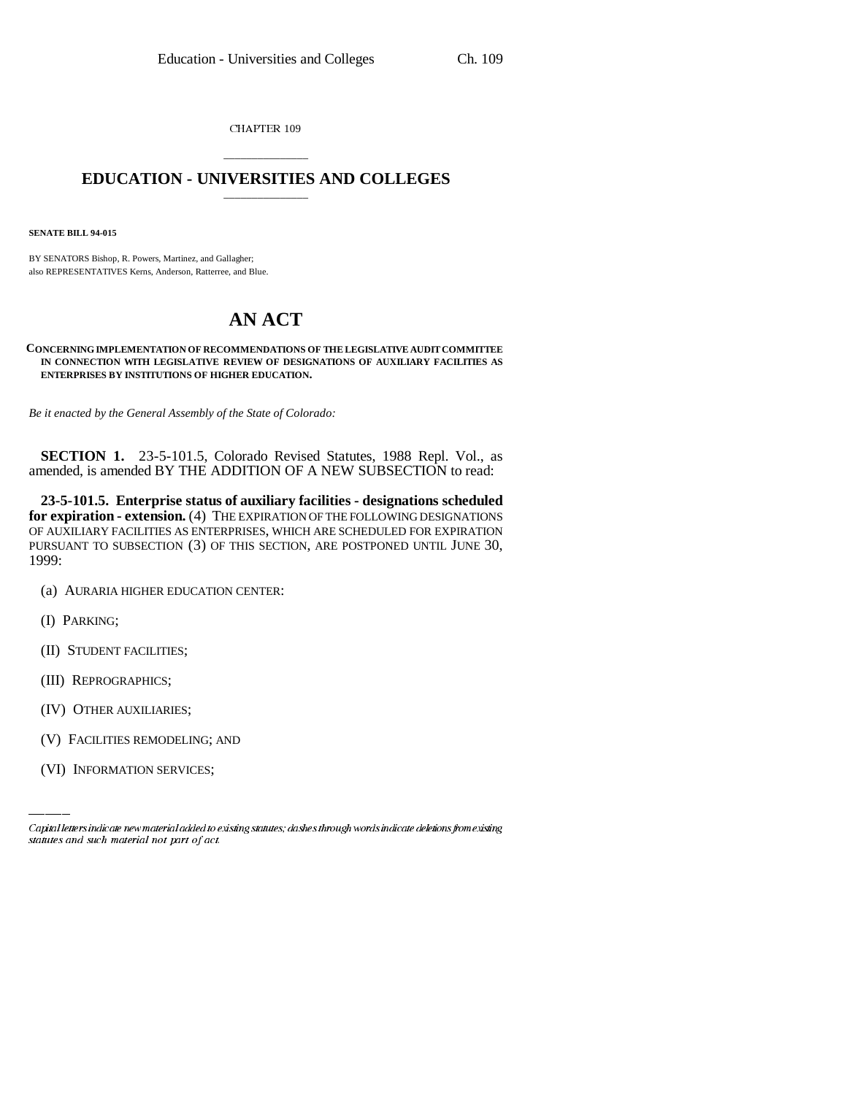CHAPTER 109

## \_\_\_\_\_\_\_\_\_\_\_\_\_\_\_ **EDUCATION - UNIVERSITIES AND COLLEGES** \_\_\_\_\_\_\_\_\_\_\_\_\_\_\_

**SENATE BILL 94-015**

BY SENATORS Bishop, R. Powers, Martinez, and Gallagher; also REPRESENTATIVES Kerns, Anderson, Ratterree, and Blue.

## **AN ACT**

**CONCERNING IMPLEMENTATION OF RECOMMENDATIONS OF THE LEGISLATIVE AUDIT COMMITTEE IN CONNECTION WITH LEGISLATIVE REVIEW OF DESIGNATIONS OF AUXILIARY FACILITIES AS ENTERPRISES BY INSTITUTIONS OF HIGHER EDUCATION.**

*Be it enacted by the General Assembly of the State of Colorado:*

**SECTION 1.** 23-5-101.5, Colorado Revised Statutes, 1988 Repl. Vol., as amended, is amended BY THE ADDITION OF A NEW SUBSECTION to read:

**23-5-101.5. Enterprise status of auxiliary facilities - designations scheduled for expiration - extension.** (4) THE EXPIRATION OF THE FOLLOWING DESIGNATIONS OF AUXILIARY FACILITIES AS ENTERPRISES, WHICH ARE SCHEDULED FOR EXPIRATION PURSUANT TO SUBSECTION (3) OF THIS SECTION, ARE POSTPONED UNTIL JUNE 30, 1999:

- (a) AURARIA HIGHER EDUCATION CENTER:
- (I) PARKING;
- (II) STUDENT FACILITIES;
- (III) REPROGRAPHICS;
- (IV) OTHER AUXILIARIES;
	- (V) FACILITIES REMODELING; AND
	- (VI) INFORMATION SERVICES;

Capital letters indicate new material added to existing statutes; dashes through words indicate deletions from existing statutes and such material not part of act.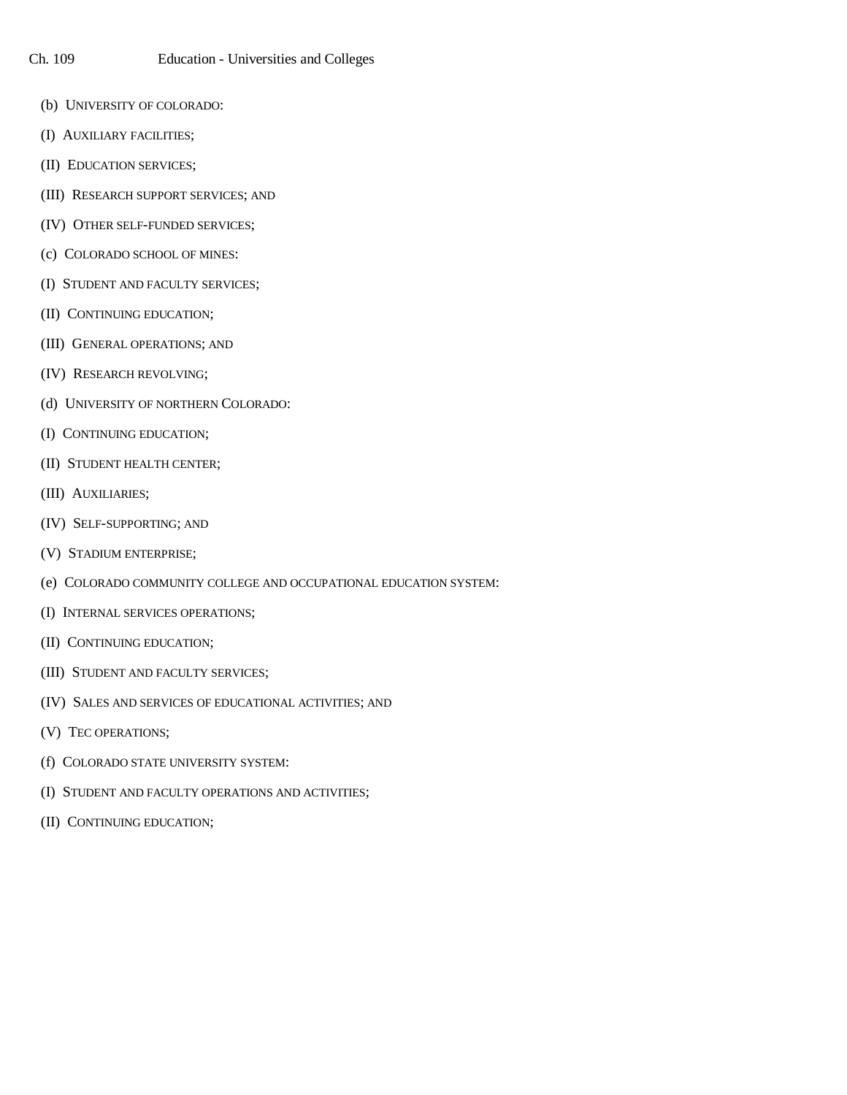- (b) UNIVERSITY OF COLORADO:
- (I) AUXILIARY FACILITIES;
- (II) EDUCATION SERVICES;
- (III) RESEARCH SUPPORT SERVICES; AND
- (IV) OTHER SELF-FUNDED SERVICES;
- (c) COLORADO SCHOOL OF MINES:
- (I) STUDENT AND FACULTY SERVICES;
- (II) CONTINUING EDUCATION;
- (III) GENERAL OPERATIONS; AND
- (IV) RESEARCH REVOLVING;
- (d) UNIVERSITY OF NORTHERN COLORADO:
- (I) CONTINUING EDUCATION;
- (II) STUDENT HEALTH CENTER;
- (III) AUXILIARIES;
- (IV) SELF-SUPPORTING; AND
- (V) STADIUM ENTERPRISE;
- (e) COLORADO COMMUNITY COLLEGE AND OCCUPATIONAL EDUCATION SYSTEM:
- (I) INTERNAL SERVICES OPERATIONS;
- (II) CONTINUING EDUCATION;
- (III) STUDENT AND FACULTY SERVICES;
- (IV) SALES AND SERVICES OF EDUCATIONAL ACTIVITIES; AND
- (V) TEC OPERATIONS;
- (f) COLORADO STATE UNIVERSITY SYSTEM:
- (I) STUDENT AND FACULTY OPERATIONS AND ACTIVITIES;
- (II) CONTINUING EDUCATION;